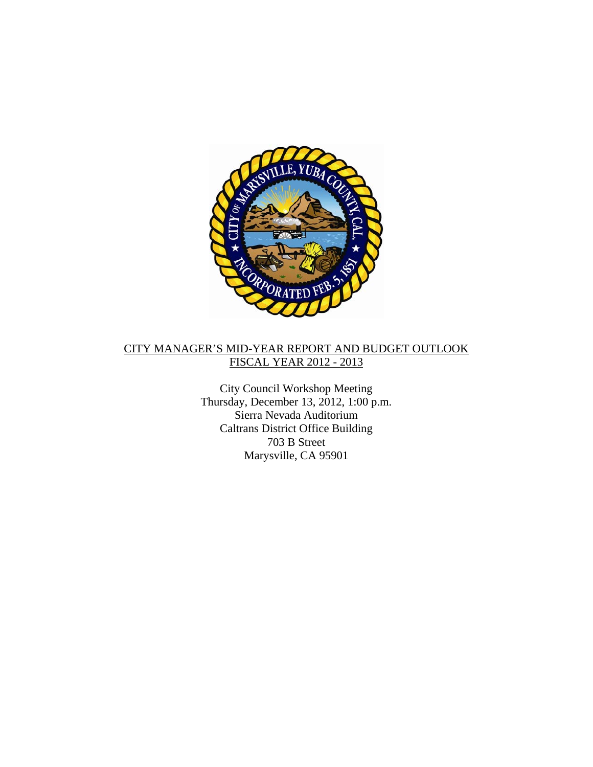

## CITY MANAGER'S MID-YEAR REPORT AND BUDGET OUTLOOK FISCAL YEAR 2012 - 2013

City Council Workshop Meeting Thursday, December 13, 2012, 1:00 p.m. Sierra Nevada Auditorium Caltrans District Office Building 703 B Street Marysville, CA 95901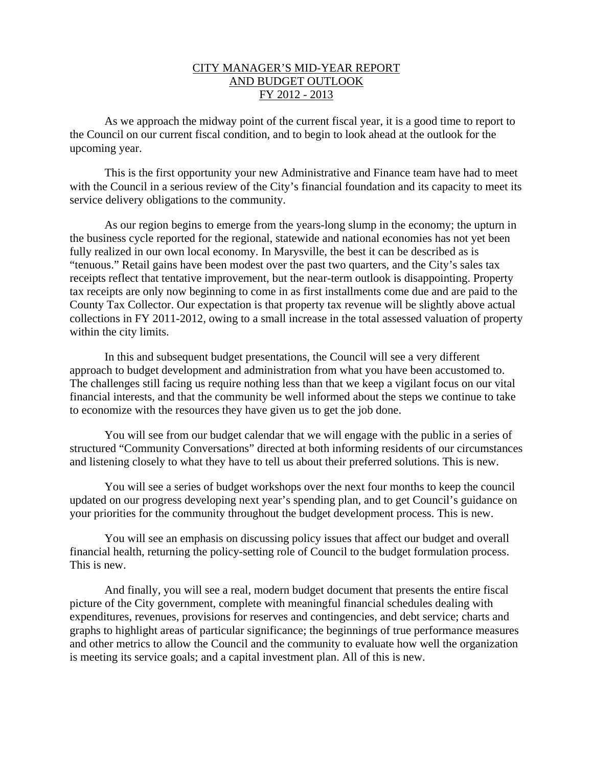## CITY MANAGER'S MID-YEAR REPORT AND BUDGET OUTLOOK FY 2012 - 2013

As we approach the midway point of the current fiscal year, it is a good time to report to the Council on our current fiscal condition, and to begin to look ahead at the outlook for the upcoming year.

This is the first opportunity your new Administrative and Finance team have had to meet with the Council in a serious review of the City's financial foundation and its capacity to meet its service delivery obligations to the community.

As our region begins to emerge from the years-long slump in the economy; the upturn in the business cycle reported for the regional, statewide and national economies has not yet been fully realized in our own local economy. In Marysville, the best it can be described as is "tenuous." Retail gains have been modest over the past two quarters, and the City's sales tax receipts reflect that tentative improvement, but the near-term outlook is disappointing. Property tax receipts are only now beginning to come in as first installments come due and are paid to the County Tax Collector. Our expectation is that property tax revenue will be slightly above actual collections in FY 2011-2012, owing to a small increase in the total assessed valuation of property within the city limits.

In this and subsequent budget presentations, the Council will see a very different approach to budget development and administration from what you have been accustomed to. The challenges still facing us require nothing less than that we keep a vigilant focus on our vital financial interests, and that the community be well informed about the steps we continue to take to economize with the resources they have given us to get the job done.

You will see from our budget calendar that we will engage with the public in a series of structured "Community Conversations" directed at both informing residents of our circumstances and listening closely to what they have to tell us about their preferred solutions. This is new.

You will see a series of budget workshops over the next four months to keep the council updated on our progress developing next year's spending plan, and to get Council's guidance on your priorities for the community throughout the budget development process. This is new.

You will see an emphasis on discussing policy issues that affect our budget and overall financial health, returning the policy-setting role of Council to the budget formulation process. This is new.

And finally, you will see a real, modern budget document that presents the entire fiscal picture of the City government, complete with meaningful financial schedules dealing with expenditures, revenues, provisions for reserves and contingencies, and debt service; charts and graphs to highlight areas of particular significance; the beginnings of true performance measures and other metrics to allow the Council and the community to evaluate how well the organization is meeting its service goals; and a capital investment plan. All of this is new.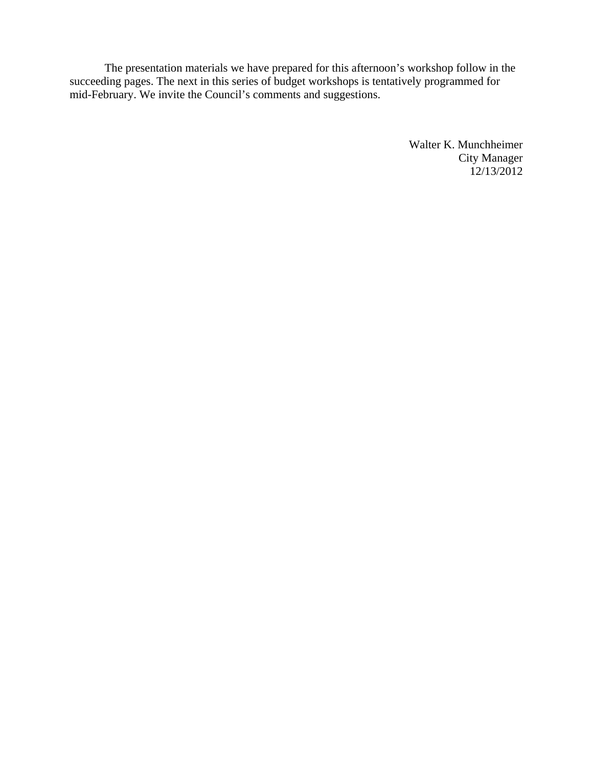The presentation materials we have prepared for this afternoon's workshop follow in the succeeding pages. The next in this series of budget workshops is tentatively programmed for mid-February. We invite the Council's comments and suggestions.

> Walter K. Munchheimer City Manager 12/13/2012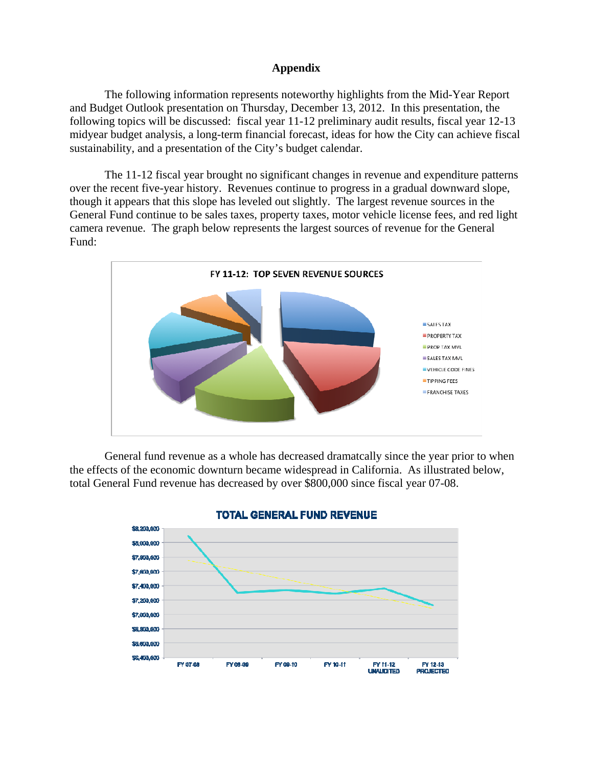### **Appendix**

The following information represents noteworthy highlights from the Mid-Year Report and Budget Outlook presentation on Thursday, December 13, 2012. In this presentation, the following topics will be discussed: fiscal year 11-12 preliminary audit results, fiscal year 12-13 midyear budget analysis, a long-term financial forecast, ideas for how the City can achieve fiscal sustainability, and a presentation of the City's budget calendar.

 The 11-12 fiscal year brought no significant changes in revenue and expenditure patterns over the recent five-year history. Revenues continue to progress in a gradual downward slope, though it appears that this slope has leveled out slightly. The largest revenue sources in the General Fund continue to be sales taxes, property taxes, motor vehicle license fees, and red light camera revenue. The graph below represents the largest sources of revenue for the General Fund:



 General fund revenue as a whole has decreased dramatcally since the year prior to when the effects of the economic downturn became widespread in California. As illustrated below, total General Fund revenue has decreased by over \$800,000 since fiscal year 07-08.



#### **TOTAL GENERAL FUND REVENUE**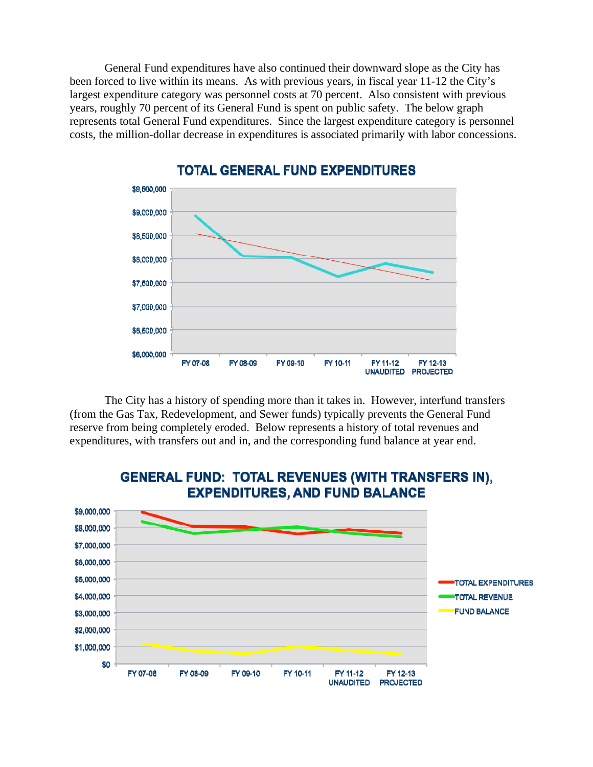General Fund expenditures have also continued their downward slope as the City has been forced to live within its means. As with previous years, in fiscal year 11-12 the City's largest expenditure category was personnel costs at 70 percent. Also consistent with previous years, roughly 70 percent of its General Fund is spent on public safety. The below graph represents total General Fund expenditures. Since the largest expenditure category is personnel costs, the million-dollar decrease in expenditures is associated primarily with labor concessions.



# **TOTAL GENERAL FUND EXPENDITURES**

 The City has a history of spending more than it takes in. However, interfund transfers (from the Gas Tax, Redevelopment, and Sewer funds) typically prevents the General Fund reserve from being completely eroded. Below represents a history of total revenues and expenditures, with transfers out and in, and the corresponding fund balance at year end.



# **GENERAL FUND: TOTAL REVENUES (WITH TRANSFERS IN), EXPENDITURES, AND FUND BALANCE**